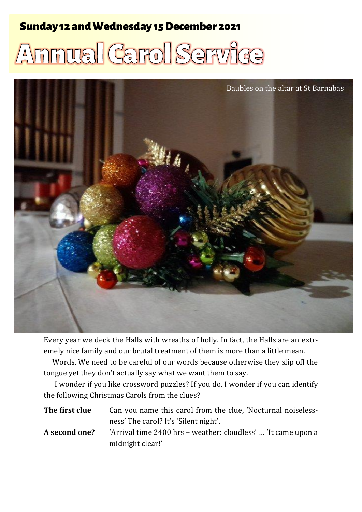## Sunday 12 and Wednesday 15 December 2021

## Annual Carol Service



Every year we deck the Halls with wreaths of holly. In fact, the Halls are an extremely nice family and our brutal treatment of them is more than a little mean.

Words. We need to be careful of our words because otherwise they slip off the tongue yet they don't actually say what we want them to say.

I wonder if you like crossword puzzles? If you do, I wonder if you can identify the following Christmas Carols from the clues?

| Can you name this carol from the clue, 'Nocturnal noiseless-                      |
|-----------------------------------------------------------------------------------|
| ness' The carol? It's 'Silent night'.                                             |
| 'Arrival time 2400 hrs – weather: cloudless'  'It came upon a<br>midnight clear!' |
|                                                                                   |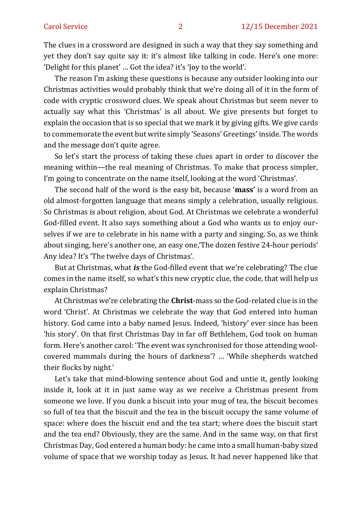The clues in a crossword are designed in such a way that they say something and yet they don't say quite say it: it's almost like talking in code. Here's one more: 'Delight for this planet' … Got the idea? it's 'Joy to the world'.

The reason I'm asking these questions is because any outsider looking into our Christmas activities would probably think that we're doing all of it in the form of code with cryptic crossword clues. We speak about Christmas but seem never to actually say what this 'Christmas' is all about. We give presents but forget to explain the occasion that is so special that we mark it by giving gifts. We give cards to commemorate the event but write simply 'Seasons' Greetings' inside. The words and the message don't quite agree.

So let's start the process of taking these clues apart in order to discover the meaning within—the real meaning of Christmas. To make that process simpler, I'm going to concentrate on the name itself, looking at the word 'Christmas'.

The second half of the word is the easy bit, because '**mass'** is a word from an old almost-forgotten language that means simply a celebration, usually religious. So Christmas is about religion, about God. At Christmas we celebrate a wonderful God-filled event. It also says something about a God who wants us to enjoy ourselves if we are to celebrate in his name with a party and singing. So, as we think about singing, here's another one, an easy one,'The dozen festive 24-hour periods' Any idea? It's 'The twelve days of Christmas'.

But at Christmas, what *is* the God-filled event that we're celebrating? The clue comes in the name itself, so what's this new cryptic clue, the code, that will help us explain Christmas?

At Christmas we're celebrating the **Christ**-mass so the God-related clue is in the word 'Christ'. At Christmas we celebrate the way that God entered into human history. God came into a baby named Jesus. Indeed, 'history' ever since has been 'his story'. On that first Christmas Day in far off Bethlehem, God took on human form. Here's another carol: 'The event was synchronised for those attending woolcovered mammals during the hours of darkness'? … 'While shepherds watched their flocks by night.'

Let's take that mind-blowing sentence about God and untie it, gently looking inside it, look at it in just same way as we receive a Christmas present from someone we love. If you dunk a biscuit into your mug of tea, the biscuit becomes so full of tea that the biscuit and the tea in the biscuit occupy the same volume of space: where does the biscuit end and the tea start; where does the biscuit start and the tea end? Obviously, they are the same. And in the same way, on that first Christmas Day, God entered a human body: he came into a small human-baby sized volume of space that we worship today as Jesus. It had never happened like that